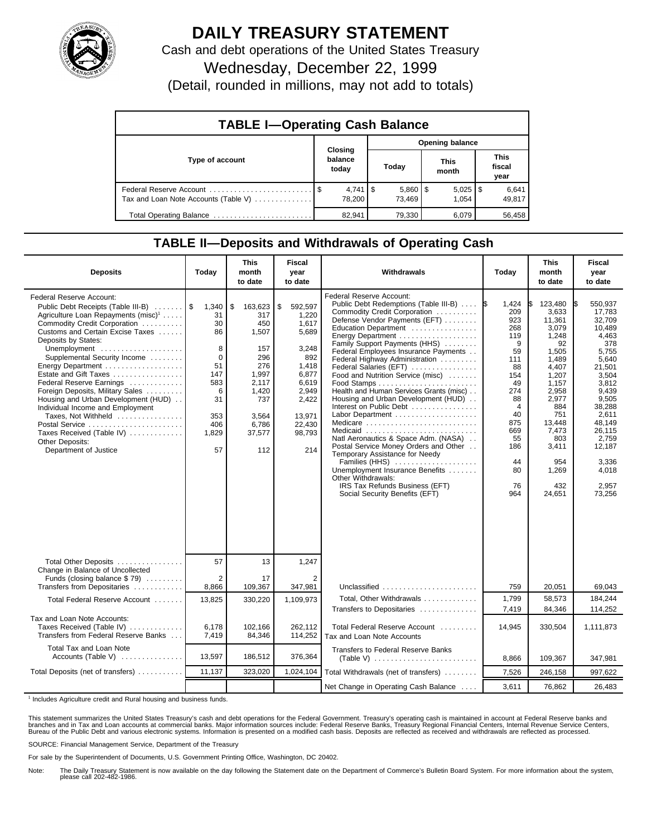

## **DAILY TREASURY STATEMENT**

Cash and debt operations of the United States Treasury

Wednesday, December 22, 1999

(Detail, rounded in millions, may not add to totals)

| <b>TABLE I-Operating Cash Balance</b> |  |                             |                 |                        |  |                       |  |                               |  |
|---------------------------------------|--|-----------------------------|-----------------|------------------------|--|-----------------------|--|-------------------------------|--|
|                                       |  |                             | Opening balance |                        |  |                       |  |                               |  |
| Type of account                       |  | Closing<br>balance<br>today |                 | Today                  |  | <b>This</b><br>month  |  | <b>This</b><br>fiscal<br>year |  |
| Tax and Loan Note Accounts (Table V)  |  | $4,741$ S<br>78.200         |                 | $5,860$   \$<br>73.469 |  | $5,025$   \$<br>1.054 |  | 6,641<br>49,817               |  |
| Total Operating Balance               |  | 82.941                      |                 | 79,330                 |  | 6.079                 |  | 56,458                        |  |

## **TABLE II—Deposits and Withdrawals of Operating Cash**

| <b>Deposits</b>                                                                                                                                                                                                                                                                                                                                                                                                                                                                                                                                                         | Today                                                                                                | <b>This</b><br>month<br>to date                                                                                                | <b>Fiscal</b><br>year<br>to date                                                                                                           | Withdrawals                                                                                                                                                                                                                                                                                                                                                                                                                                                                                                                                                                                                                                                                                                                                                     | Today                                                                                                                                                                  | <b>This</b><br>month<br>to date                                                                                                                                                                     | <b>Fiscal</b><br>year<br>to date                                                                                                                                                                                            |
|-------------------------------------------------------------------------------------------------------------------------------------------------------------------------------------------------------------------------------------------------------------------------------------------------------------------------------------------------------------------------------------------------------------------------------------------------------------------------------------------------------------------------------------------------------------------------|------------------------------------------------------------------------------------------------------|--------------------------------------------------------------------------------------------------------------------------------|--------------------------------------------------------------------------------------------------------------------------------------------|-----------------------------------------------------------------------------------------------------------------------------------------------------------------------------------------------------------------------------------------------------------------------------------------------------------------------------------------------------------------------------------------------------------------------------------------------------------------------------------------------------------------------------------------------------------------------------------------------------------------------------------------------------------------------------------------------------------------------------------------------------------------|------------------------------------------------------------------------------------------------------------------------------------------------------------------------|-----------------------------------------------------------------------------------------------------------------------------------------------------------------------------------------------------|-----------------------------------------------------------------------------------------------------------------------------------------------------------------------------------------------------------------------------|
| Federal Reserve Account:<br>Public Debt Receipts (Table III-B)<br>Agriculture Loan Repayments (misc) <sup>1</sup><br>Commodity Credit Corporation<br>Customs and Certain Excise Taxes<br>Deposits by States:<br>Unemployment<br>Supplemental Security Income<br>Energy Department<br>Estate and Gift Taxes<br>Federal Reserve Earnings<br>Foreign Deposits, Military Sales<br>Housing and Urban Development (HUD)<br>Individual Income and Employment<br>Taxes, Not Withheld<br>Postal Service<br>Taxes Received (Table IV)<br>Other Deposits:<br>Department of Justice | 1,340<br>31<br>30<br>86<br>8<br>$\Omega$<br>51<br>147<br>583<br>6<br>31<br>353<br>406<br>1,829<br>57 | \$<br>163,623<br>317<br>450<br>1,507<br>157<br>296<br>276<br>1,997<br>2,117<br>1,420<br>737<br>3,564<br>6,786<br>37,577<br>112 | \$<br>592,597<br>1,220<br>1,617<br>5,689<br>3,248<br>892<br>1,418<br>6,877<br>6,619<br>2,949<br>2,422<br>13,971<br>22,430<br>98,793<br>214 | Federal Reserve Account:<br>Public Debt Redemptions (Table III-B)<br>Commodity Credit Corporation<br>Defense Vendor Payments (EFT)<br>Education Department<br>Family Support Payments (HHS)<br>Federal Employees Insurance Payments<br>Federal Highway Administration<br>Federal Salaries (EFT)<br>Food and Nutrition Service (misc)<br>Health and Human Services Grants (misc)<br>Housing and Urban Development (HUD)<br>Interest on Public Debt<br>Labor Department<br>Medicare<br>Medicaid<br>Natl Aeronautics & Space Adm. (NASA)<br>Postal Service Money Orders and Other<br>Temporary Assistance for Needy<br>Families (HHS)<br>Unemployment Insurance Benefits<br>Other Withdrawals:<br>IRS Tax Refunds Business (EFT)<br>Social Security Benefits (EFT) | 1.424<br>1\$<br>209<br>923<br>268<br>119<br>9<br>59<br>111<br>88<br>154<br>49<br>274<br>88<br>$\overline{4}$<br>40<br>875<br>669<br>55<br>186<br>44<br>80<br>76<br>964 | 123.480<br>3,633<br>11,361<br>3.079<br>1,248<br>92<br>1,505<br>1,489<br>4,407<br>1,207<br>1,157<br>2,958<br>2,977<br>884<br>751<br>13.448<br>7,473<br>803<br>3,411<br>954<br>1,269<br>432<br>24,651 | 550.937<br>IS.<br>17,783<br>32,709<br>10.489<br>4,463<br>378<br>5.755<br>5,640<br>21,501<br>3,504<br>3,812<br>9,439<br>9,505<br>38,288<br>2,611<br>48.149<br>26.115<br>2.759<br>12,187<br>3.336<br>4,018<br>2.957<br>73,256 |
| Total Other Deposits<br>Change in Balance of Uncollected                                                                                                                                                                                                                                                                                                                                                                                                                                                                                                                | 57                                                                                                   | 13                                                                                                                             | 1,247                                                                                                                                      |                                                                                                                                                                                                                                                                                                                                                                                                                                                                                                                                                                                                                                                                                                                                                                 |                                                                                                                                                                        |                                                                                                                                                                                                     |                                                                                                                                                                                                                             |
| Funds (closing balance \$79)<br>Transfers from Depositaries                                                                                                                                                                                                                                                                                                                                                                                                                                                                                                             | 2<br>8,866                                                                                           | 17<br>109,367                                                                                                                  | 2<br>347,981                                                                                                                               | Unclassified                                                                                                                                                                                                                                                                                                                                                                                                                                                                                                                                                                                                                                                                                                                                                    | 759                                                                                                                                                                    | 20,051                                                                                                                                                                                              | 69,043                                                                                                                                                                                                                      |
| Total Federal Reserve Account                                                                                                                                                                                                                                                                                                                                                                                                                                                                                                                                           | 13,825                                                                                               | 330,220                                                                                                                        | 1,109,973                                                                                                                                  | Total, Other Withdrawals<br>Transfers to Depositaries                                                                                                                                                                                                                                                                                                                                                                                                                                                                                                                                                                                                                                                                                                           | 1,799<br>7,419                                                                                                                                                         | 58,573<br>84,346                                                                                                                                                                                    | 184,244<br>114,252                                                                                                                                                                                                          |
| Tax and Loan Note Accounts:<br>Taxes Received (Table IV)<br>Transfers from Federal Reserve Banks                                                                                                                                                                                                                                                                                                                                                                                                                                                                        | 6,178<br>7,419                                                                                       | 102,166<br>84,346                                                                                                              | 262,112<br>114,252                                                                                                                         | Total Federal Reserve Account<br>Tax and Loan Note Accounts                                                                                                                                                                                                                                                                                                                                                                                                                                                                                                                                                                                                                                                                                                     | 14,945                                                                                                                                                                 | 330,504                                                                                                                                                                                             | 1,111,873                                                                                                                                                                                                                   |
| <b>Total Tax and Loan Note</b><br>Accounts (Table V) $\ldots$                                                                                                                                                                                                                                                                                                                                                                                                                                                                                                           | 13,597                                                                                               | 186,512                                                                                                                        | 376,364                                                                                                                                    | Transfers to Federal Reserve Banks                                                                                                                                                                                                                                                                                                                                                                                                                                                                                                                                                                                                                                                                                                                              | 8,866                                                                                                                                                                  | 109.367                                                                                                                                                                                             | 347,981                                                                                                                                                                                                                     |
| Total Deposits (net of transfers)                                                                                                                                                                                                                                                                                                                                                                                                                                                                                                                                       | 11,137                                                                                               | 323,020                                                                                                                        | 1,024,104                                                                                                                                  | Total Withdrawals (net of transfers)                                                                                                                                                                                                                                                                                                                                                                                                                                                                                                                                                                                                                                                                                                                            | 7,526                                                                                                                                                                  | 246,158                                                                                                                                                                                             | 997,622                                                                                                                                                                                                                     |
|                                                                                                                                                                                                                                                                                                                                                                                                                                                                                                                                                                         |                                                                                                      |                                                                                                                                |                                                                                                                                            | Net Change in Operating Cash Balance                                                                                                                                                                                                                                                                                                                                                                                                                                                                                                                                                                                                                                                                                                                            | 3,611                                                                                                                                                                  | 76,862                                                                                                                                                                                              | 26,483                                                                                                                                                                                                                      |

<sup>1</sup> Includes Agriculture credit and Rural housing and business funds.

This statement summarizes the United States Treasury's cash and debt operations for the Federal Government. Treasury's operating cash is maintained in account at Federal Reserve banks and<br>branches and in Tax and Loan accou

SOURCE: Financial Management Service, Department of the Treasury

For sale by the Superintendent of Documents, U.S. Government Printing Office, Washington, DC 20402.

Note: The Daily Treasury Statement is now available on the day following the Statement date on the Department of Commerce's Bulletin Board System. For more information about the system, please call 202-482-1986.